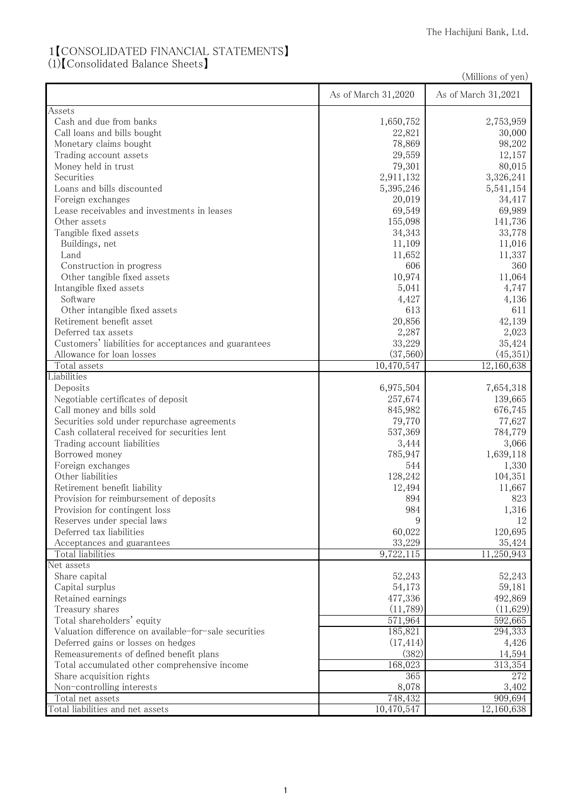## 1【CONSOLIDATED FINANCIAL STATEMENTS】

(1)【Consolidated Balance Sheets】

|                                                       |                     | (Millions of yen)   |
|-------------------------------------------------------|---------------------|---------------------|
|                                                       | As of March 31,2020 | As of March 31,2021 |
| Assets                                                |                     |                     |
| Cash and due from banks                               | 1,650,752           | 2,753,959           |
| Call loans and bills bought                           | 22,821              | 30,000              |
| Monetary claims bought                                | 78,869              | 98,202              |
| Trading account assets                                | 29,559              | 12,157              |
| Money held in trust                                   | 79,301              | 80,015              |
| Securities                                            | 2,911,132           | 3,326,241           |
| Loans and bills discounted                            | 5,395,246           | 5,541,154           |
| Foreign exchanges                                     | 20,019              | 34,417              |
| Lease receivables and investments in leases           | 69,549              | 69,989              |
| Other assets                                          | 155,098             | 141,736             |
| Tangible fixed assets                                 | 34,343              | 33,778              |
| Buildings, net                                        | 11,109              | 11,016              |
| Land                                                  | 11,652              | 11,337              |
| Construction in progress                              | 606                 | 360                 |
| Other tangible fixed assets                           | 10,974              | 11,064              |
| Intangible fixed assets                               | 5,041               | 4,747               |
| Software                                              | 4,427               | 4,136               |
| Other intangible fixed assets                         | 613                 | 611                 |
| Retirement benefit asset                              | 20,856              | 42,139              |
| Deferred tax assets                                   | 2,287               | 2,023               |
| Customers' liabilities for acceptances and guarantees | 33,229              | 35,424              |
| Allowance for loan losses                             | (37,560)            | (45,351)            |
| Total assets                                          | 10,470,547          | 12,160,638          |
| Liabilities                                           |                     |                     |
| Deposits                                              | 6,975,504           | 7,654,318           |
| Negotiable certificates of deposit                    | 257,674             | 139,665             |
| Call money and bills sold                             | 845,982             | 676,745             |
| Securities sold under repurchase agreements           | 79,770              | 77,627              |
| Cash collateral received for securities lent          | 537,369             | 784,779             |
| Trading account liabilities                           | 3,444               | 3,066               |
| Borrowed money                                        | 785,947             | 1,639,118           |
| Foreign exchanges                                     | 544                 | 1,330               |
| Other liabilities                                     | 128,242             | 104,351             |
| Retirement benefit liability                          | 12,494              | 11,667              |
| Provision for reimbursement of deposits               | 894                 | 823                 |
| Provision for contingent loss                         | 984                 | 1,316               |
| Reserves under special laws                           | 9                   | 12                  |
| Deferred tax liabilities                              | 60,022              | 120,695             |
| Acceptances and guarantees                            | 33,229              | 35,424              |
| Total liabilities                                     | 9,722,115           | 11,250,943          |
| Net assets                                            |                     |                     |
| Share capital                                         | 52,243              | 52,243              |
| Capital surplus                                       | 54,173              | 59,181              |
| Retained earnings                                     | 477,336             | 492,869             |
| Treasury shares                                       | (11,789)            | (11,629)            |
| Total shareholders' equity                            |                     | 592,665             |
| Valuation difference on available-for-sale securities | 571,964<br>185,821  | 294,333             |
|                                                       |                     |                     |
| Deferred gains or losses on hedges                    | (17, 414)<br>(382)  | 4,426               |
| Remeasurements of defined benefit plans               |                     | 14,594              |
| Total accumulated other comprehensive income          | 168,023             | 313,354             |
| Share acquisition rights                              | 365                 | 272                 |
| Non-controlling interests                             | 8,078               | 3,402               |
| Total net assets                                      | 748,432             | 909,694             |
| Total liabilities and net assets                      | 10,470,547          | 12,160,638          |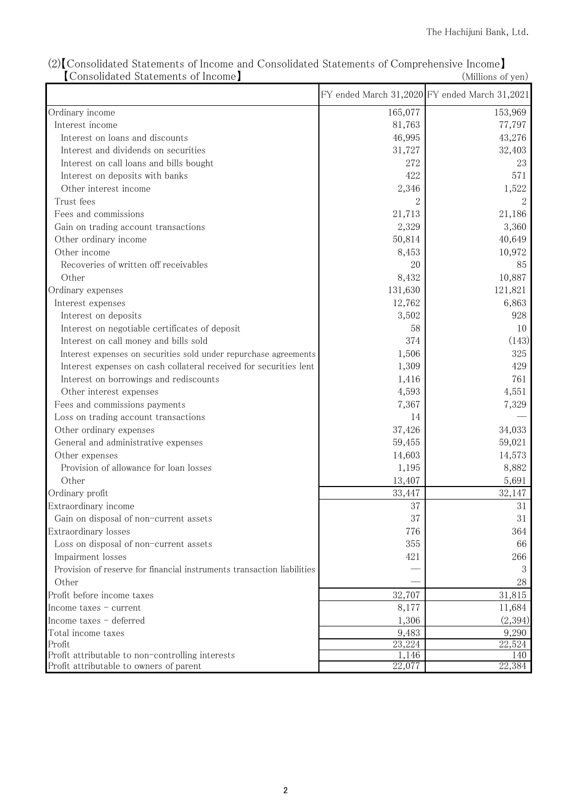|                                                                        |         | FY ended March 31,2020 FY ended March 31,2021 |
|------------------------------------------------------------------------|---------|-----------------------------------------------|
| Ordinary income                                                        | 165,077 | 153,969                                       |
| Interest income                                                        | 81,763  | 77,797                                        |
| Interest on loans and discounts                                        | 46,995  | 43,276                                        |
| Interest and dividends on securities                                   | 31,727  | 32,403                                        |
| Interest on call loans and bills bought                                | 272     | 23                                            |
| Interest on deposits with banks                                        | 422     | 571                                           |
| Other interest income                                                  | 2,346   | 1,522                                         |
| Trust fees                                                             |         |                                               |
| Fees and commissions                                                   | 21,713  | 21,186                                        |
| Gain on trading account transactions                                   | 2,329   | 3,360                                         |
| Other ordinary income                                                  | 50,814  | 40,649                                        |
| Other income                                                           | 8,453   | 10,972                                        |
| Recoveries of written off receivables                                  | 20      | 85                                            |
| Other                                                                  | 8,432   | 10,887                                        |
| Ordinary expenses                                                      | 131,630 | 121,821                                       |
| Interest expenses                                                      | 12,762  | 6,863                                         |
| Interest on deposits                                                   | 3,502   | 928                                           |
| Interest on negotiable certificates of deposit                         | 58      | 10                                            |
| Interest on call money and bills sold                                  | 374     | (143)                                         |
| Interest expenses on securities sold under repurchase agreements       | 1,506   | 325                                           |
| Interest expenses on cash collateral received for securities lent      | 1,309   | 429                                           |
| Interest on borrowings and rediscounts                                 | 1,416   | 761                                           |
| Other interest expenses                                                | 4,593   | 4,551                                         |
| Fees and commissions payments                                          | 7,367   | 7,329                                         |
| Loss on trading account transactions                                   | 14      |                                               |
| Other ordinary expenses                                                | 37,426  | 34,033                                        |
| General and administrative expenses                                    | 59,455  | 59,021                                        |
| Other expenses                                                         | 14,603  | 14,573                                        |
| Provision of allowance for loan losses                                 | 1,195   | 8,882                                         |
| Other                                                                  | 13,407  | 5,691                                         |
| Ordinary profit                                                        | 33,447  | 32,147                                        |
| Extraordinary income                                                   | 37      | 31                                            |
| Gain on disposal of non-current assets                                 | 37      | 31                                            |
| Extraordinary losses                                                   | 776     | 364                                           |
| Loss on disposal of non-current assets                                 | 355     | 66                                            |
| Impairment losses                                                      | 421     | 266                                           |
| Provision of reserve for financial instruments transaction liabilities |         | 3                                             |
| Other                                                                  |         | 28                                            |
| Profit before income taxes                                             | 32,707  | 31,815                                        |
| Income taxes $-$ current                                               | 8,177   | 11,684                                        |
| Income taxes - deferred                                                | 1,306   | (2,394)                                       |
| Total income taxes                                                     | 9,483   | 9,290                                         |
| Profit                                                                 | 23,224  | 22,524                                        |
| Profit attributable to non-controlling interests                       | 1,146   | 140                                           |
| Profit attributable to owners of parent                                | 22,077  | 22,384                                        |

(2)【Consolidated Statements of Income and Consolidated Statements of Comprehensive Income】 【Consolidated Statements of Income】 (Millions of yen)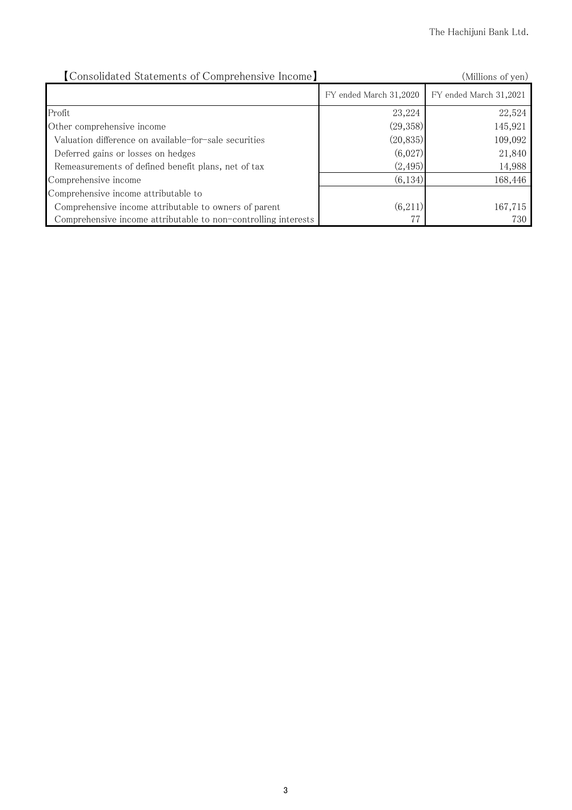| [Consolidated Statements of Comprehensive Income]              |                        | (Millions of yen)      |
|----------------------------------------------------------------|------------------------|------------------------|
|                                                                | FY ended March 31,2020 | FY ended March 31,2021 |
| Profit                                                         | 23,224                 | 22,524                 |
| Other comprehensive income                                     | (29,358)               | 145,921                |
| Valuation difference on available-for-sale securities          | (20, 835)              | 109,092                |
| Deferred gains or losses on hedges                             | (6,027)                | 21,840                 |
| Remeasurements of defined benefit plans, net of tax            | (2, 495)               | 14,988                 |
| Comprehensive income                                           | (6, 134)               | 168,446                |
| Comprehensive income attributable to                           |                        |                        |
| Comprehensive income attributable to owners of parent          | (6,211)                | 167,715                |
| Comprehensive income attributable to non-controlling interests |                        | 730                    |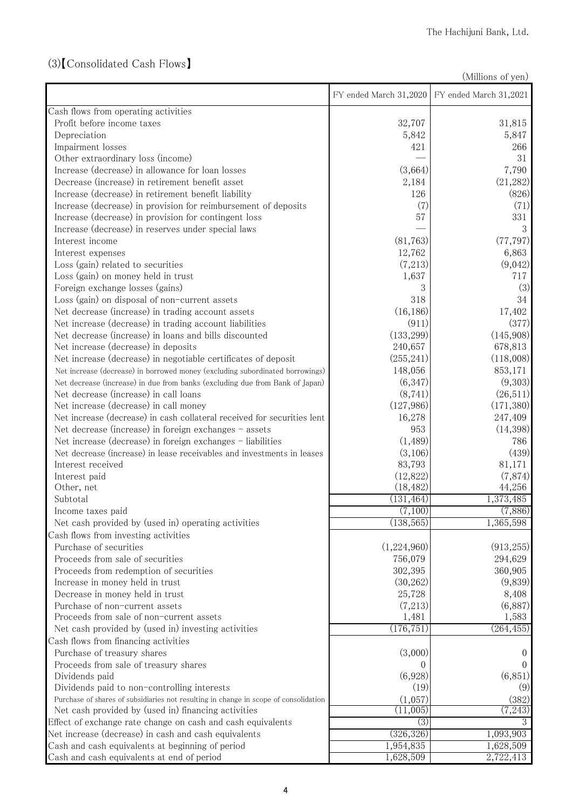## (3)【Consolidated Cash Flows】

(Millions of yen)

| Cash flows from operating activities<br>32,707<br>Profit before income taxes<br>31,815<br>Depreciation<br>5,842<br>5,847<br>Impairment losses<br>421<br>266<br>Other extraordinary loss (income)<br>31<br>Increase (decrease) in allowance for loan losses<br>(3,664)<br>7,790<br>Decrease (increase) in retirement benefit asset<br>(21, 282)<br>2,184<br>Increase (decrease) in retirement benefit liability<br>(826)<br>126<br>Increase (decrease) in provision for reimbursement of deposits<br>(7)<br>(71)<br>331<br>Increase (decrease) in provision for contingent loss<br>57<br>3<br>Increase (decrease) in reserves under special laws<br>(77, 797)<br>(81, 763)<br>Interest income<br>12,762<br>6,863<br>Interest expenses<br>(7,213)<br>(9,042)<br>Loss (gain) related to securities<br>1,637<br>717<br>Loss (gain) on money held in trust<br>(3)<br>Foreign exchange losses (gains)<br>318<br>Loss (gain) on disposal of non-current assets<br>34<br>(16, 186)<br>Net decrease (increase) in trading account assets<br>17,402<br>(911)<br>(377)<br>Net increase (decrease) in trading account liabilities<br>Net decrease (increase) in loans and bills discounted<br>(133, 299)<br>(145,908)<br>Net increase (decrease) in deposits<br>240,657<br>678,813<br>(255, 241)<br>(118,008)<br>Net increase (decrease) in negotiable certificates of deposit<br>853,171<br>148,056<br>Net increase (decrease) in borrowed money (excluding subordinated borrowings)<br>(9,303)<br>(6,347)<br>Net decrease (increase) in due from banks (excluding due from Bank of Japan)<br>(8, 741)<br>Net decrease (increase) in call loans<br>(26,511)<br>Net increase (decrease) in call money<br>(171, 380)<br>(127,986)<br>Net increase (decrease) in cash collateral received for securities lent<br>16,278<br>247,409<br>Net decrease (increase) in foreign exchanges - assets<br>(14,398)<br>953<br>Net increase (decrease) in foreign exchanges - liabilities<br>(1,489)<br>786<br>(3,106)<br>(439)<br>Net decrease (increase) in lease receivables and investments in leases<br>83,793<br>Interest received<br>81,171<br>(12,822)<br>(7,874)<br>Interest paid<br>(18, 482)<br>44,256<br>Other, net<br>1,373,485<br>Subtotal<br>(131, 464)<br>(7,100)<br>(7,886)<br>Income taxes paid<br>(138, 565)<br>1,365,598<br>Net cash provided by (used in) operating activities<br>Cash flows from investing activities<br>(1,224,960)<br>(913, 255)<br>Purchase of securities<br>Proceeds from sale of securities<br>756,079<br>294,629<br>Proceeds from redemption of securities<br>302,395<br>360,905<br>(30, 262)<br>(9,839)<br>Increase in money held in trust<br>25,728<br>8,408<br>Decrease in money held in trust<br>(6,887)<br>Purchase of non-current assets<br>(7,213)<br>Proceeds from sale of non-current assets<br>1,481<br>1,583<br>(176, 751)<br>(264, 455)<br>Net cash provided by (used in) investing activities<br>Cash flows from financing activities<br>(3,000)<br>Purchase of treasury shares<br>$\theta$<br>Proceeds from sale of treasury shares<br>(6,928)<br>(6, 851)<br>Dividends paid<br>(19)<br>(9)<br>Dividends paid to non-controlling interests<br>Purchase of shares of subsidiaries not resulting in change in scope of consolidation<br>(1,057)<br>(382)<br>Net cash provided by (used in) financing activities<br>(11,005)<br>(7,243)<br>(3)<br>Effect of exchange rate change on cash and cash equivalents<br>3<br>(326, 326)<br>Net increase (decrease) in cash and cash equivalents<br>1,093,903<br>Cash and cash equivalents at beginning of period<br>1,954,835<br>1,628,509<br>Cash and cash equivalents at end of period<br>1,628,509<br>2,722,413 |  | FY ended March 31,2020 FY ended March 31,2021 |
|-----------------------------------------------------------------------------------------------------------------------------------------------------------------------------------------------------------------------------------------------------------------------------------------------------------------------------------------------------------------------------------------------------------------------------------------------------------------------------------------------------------------------------------------------------------------------------------------------------------------------------------------------------------------------------------------------------------------------------------------------------------------------------------------------------------------------------------------------------------------------------------------------------------------------------------------------------------------------------------------------------------------------------------------------------------------------------------------------------------------------------------------------------------------------------------------------------------------------------------------------------------------------------------------------------------------------------------------------------------------------------------------------------------------------------------------------------------------------------------------------------------------------------------------------------------------------------------------------------------------------------------------------------------------------------------------------------------------------------------------------------------------------------------------------------------------------------------------------------------------------------------------------------------------------------------------------------------------------------------------------------------------------------------------------------------------------------------------------------------------------------------------------------------------------------------------------------------------------------------------------------------------------------------------------------------------------------------------------------------------------------------------------------------------------------------------------------------------------------------------------------------------------------------------------------------------------------------------------------------------------------------------------------------------------------------------------------------------------------------------------------------------------------------------------------------------------------------------------------------------------------------------------------------------------------------------------------------------------------------------------------------------------------------------------------------------------------------------------------------------------------------------------------------------------------------------------------------------------------------------------------------------------------------------------------------------------------------------------------------------------------------------------------------------------------------------------------------------------------------------------------------------------------------------------------------------------------------------------------------------------------------------------------------------------------------------|--|-----------------------------------------------|
|                                                                                                                                                                                                                                                                                                                                                                                                                                                                                                                                                                                                                                                                                                                                                                                                                                                                                                                                                                                                                                                                                                                                                                                                                                                                                                                                                                                                                                                                                                                                                                                                                                                                                                                                                                                                                                                                                                                                                                                                                                                                                                                                                                                                                                                                                                                                                                                                                                                                                                                                                                                                                                                                                                                                                                                                                                                                                                                                                                                                                                                                                                                                                                                                                                                                                                                                                                                                                                                                                                                                                                                                                                                                                         |  |                                               |
|                                                                                                                                                                                                                                                                                                                                                                                                                                                                                                                                                                                                                                                                                                                                                                                                                                                                                                                                                                                                                                                                                                                                                                                                                                                                                                                                                                                                                                                                                                                                                                                                                                                                                                                                                                                                                                                                                                                                                                                                                                                                                                                                                                                                                                                                                                                                                                                                                                                                                                                                                                                                                                                                                                                                                                                                                                                                                                                                                                                                                                                                                                                                                                                                                                                                                                                                                                                                                                                                                                                                                                                                                                                                                         |  |                                               |
|                                                                                                                                                                                                                                                                                                                                                                                                                                                                                                                                                                                                                                                                                                                                                                                                                                                                                                                                                                                                                                                                                                                                                                                                                                                                                                                                                                                                                                                                                                                                                                                                                                                                                                                                                                                                                                                                                                                                                                                                                                                                                                                                                                                                                                                                                                                                                                                                                                                                                                                                                                                                                                                                                                                                                                                                                                                                                                                                                                                                                                                                                                                                                                                                                                                                                                                                                                                                                                                                                                                                                                                                                                                                                         |  |                                               |
|                                                                                                                                                                                                                                                                                                                                                                                                                                                                                                                                                                                                                                                                                                                                                                                                                                                                                                                                                                                                                                                                                                                                                                                                                                                                                                                                                                                                                                                                                                                                                                                                                                                                                                                                                                                                                                                                                                                                                                                                                                                                                                                                                                                                                                                                                                                                                                                                                                                                                                                                                                                                                                                                                                                                                                                                                                                                                                                                                                                                                                                                                                                                                                                                                                                                                                                                                                                                                                                                                                                                                                                                                                                                                         |  |                                               |
|                                                                                                                                                                                                                                                                                                                                                                                                                                                                                                                                                                                                                                                                                                                                                                                                                                                                                                                                                                                                                                                                                                                                                                                                                                                                                                                                                                                                                                                                                                                                                                                                                                                                                                                                                                                                                                                                                                                                                                                                                                                                                                                                                                                                                                                                                                                                                                                                                                                                                                                                                                                                                                                                                                                                                                                                                                                                                                                                                                                                                                                                                                                                                                                                                                                                                                                                                                                                                                                                                                                                                                                                                                                                                         |  |                                               |
|                                                                                                                                                                                                                                                                                                                                                                                                                                                                                                                                                                                                                                                                                                                                                                                                                                                                                                                                                                                                                                                                                                                                                                                                                                                                                                                                                                                                                                                                                                                                                                                                                                                                                                                                                                                                                                                                                                                                                                                                                                                                                                                                                                                                                                                                                                                                                                                                                                                                                                                                                                                                                                                                                                                                                                                                                                                                                                                                                                                                                                                                                                                                                                                                                                                                                                                                                                                                                                                                                                                                                                                                                                                                                         |  |                                               |
|                                                                                                                                                                                                                                                                                                                                                                                                                                                                                                                                                                                                                                                                                                                                                                                                                                                                                                                                                                                                                                                                                                                                                                                                                                                                                                                                                                                                                                                                                                                                                                                                                                                                                                                                                                                                                                                                                                                                                                                                                                                                                                                                                                                                                                                                                                                                                                                                                                                                                                                                                                                                                                                                                                                                                                                                                                                                                                                                                                                                                                                                                                                                                                                                                                                                                                                                                                                                                                                                                                                                                                                                                                                                                         |  |                                               |
|                                                                                                                                                                                                                                                                                                                                                                                                                                                                                                                                                                                                                                                                                                                                                                                                                                                                                                                                                                                                                                                                                                                                                                                                                                                                                                                                                                                                                                                                                                                                                                                                                                                                                                                                                                                                                                                                                                                                                                                                                                                                                                                                                                                                                                                                                                                                                                                                                                                                                                                                                                                                                                                                                                                                                                                                                                                                                                                                                                                                                                                                                                                                                                                                                                                                                                                                                                                                                                                                                                                                                                                                                                                                                         |  |                                               |
|                                                                                                                                                                                                                                                                                                                                                                                                                                                                                                                                                                                                                                                                                                                                                                                                                                                                                                                                                                                                                                                                                                                                                                                                                                                                                                                                                                                                                                                                                                                                                                                                                                                                                                                                                                                                                                                                                                                                                                                                                                                                                                                                                                                                                                                                                                                                                                                                                                                                                                                                                                                                                                                                                                                                                                                                                                                                                                                                                                                                                                                                                                                                                                                                                                                                                                                                                                                                                                                                                                                                                                                                                                                                                         |  |                                               |
|                                                                                                                                                                                                                                                                                                                                                                                                                                                                                                                                                                                                                                                                                                                                                                                                                                                                                                                                                                                                                                                                                                                                                                                                                                                                                                                                                                                                                                                                                                                                                                                                                                                                                                                                                                                                                                                                                                                                                                                                                                                                                                                                                                                                                                                                                                                                                                                                                                                                                                                                                                                                                                                                                                                                                                                                                                                                                                                                                                                                                                                                                                                                                                                                                                                                                                                                                                                                                                                                                                                                                                                                                                                                                         |  |                                               |
|                                                                                                                                                                                                                                                                                                                                                                                                                                                                                                                                                                                                                                                                                                                                                                                                                                                                                                                                                                                                                                                                                                                                                                                                                                                                                                                                                                                                                                                                                                                                                                                                                                                                                                                                                                                                                                                                                                                                                                                                                                                                                                                                                                                                                                                                                                                                                                                                                                                                                                                                                                                                                                                                                                                                                                                                                                                                                                                                                                                                                                                                                                                                                                                                                                                                                                                                                                                                                                                                                                                                                                                                                                                                                         |  |                                               |
|                                                                                                                                                                                                                                                                                                                                                                                                                                                                                                                                                                                                                                                                                                                                                                                                                                                                                                                                                                                                                                                                                                                                                                                                                                                                                                                                                                                                                                                                                                                                                                                                                                                                                                                                                                                                                                                                                                                                                                                                                                                                                                                                                                                                                                                                                                                                                                                                                                                                                                                                                                                                                                                                                                                                                                                                                                                                                                                                                                                                                                                                                                                                                                                                                                                                                                                                                                                                                                                                                                                                                                                                                                                                                         |  |                                               |
|                                                                                                                                                                                                                                                                                                                                                                                                                                                                                                                                                                                                                                                                                                                                                                                                                                                                                                                                                                                                                                                                                                                                                                                                                                                                                                                                                                                                                                                                                                                                                                                                                                                                                                                                                                                                                                                                                                                                                                                                                                                                                                                                                                                                                                                                                                                                                                                                                                                                                                                                                                                                                                                                                                                                                                                                                                                                                                                                                                                                                                                                                                                                                                                                                                                                                                                                                                                                                                                                                                                                                                                                                                                                                         |  |                                               |
|                                                                                                                                                                                                                                                                                                                                                                                                                                                                                                                                                                                                                                                                                                                                                                                                                                                                                                                                                                                                                                                                                                                                                                                                                                                                                                                                                                                                                                                                                                                                                                                                                                                                                                                                                                                                                                                                                                                                                                                                                                                                                                                                                                                                                                                                                                                                                                                                                                                                                                                                                                                                                                                                                                                                                                                                                                                                                                                                                                                                                                                                                                                                                                                                                                                                                                                                                                                                                                                                                                                                                                                                                                                                                         |  |                                               |
|                                                                                                                                                                                                                                                                                                                                                                                                                                                                                                                                                                                                                                                                                                                                                                                                                                                                                                                                                                                                                                                                                                                                                                                                                                                                                                                                                                                                                                                                                                                                                                                                                                                                                                                                                                                                                                                                                                                                                                                                                                                                                                                                                                                                                                                                                                                                                                                                                                                                                                                                                                                                                                                                                                                                                                                                                                                                                                                                                                                                                                                                                                                                                                                                                                                                                                                                                                                                                                                                                                                                                                                                                                                                                         |  |                                               |
|                                                                                                                                                                                                                                                                                                                                                                                                                                                                                                                                                                                                                                                                                                                                                                                                                                                                                                                                                                                                                                                                                                                                                                                                                                                                                                                                                                                                                                                                                                                                                                                                                                                                                                                                                                                                                                                                                                                                                                                                                                                                                                                                                                                                                                                                                                                                                                                                                                                                                                                                                                                                                                                                                                                                                                                                                                                                                                                                                                                                                                                                                                                                                                                                                                                                                                                                                                                                                                                                                                                                                                                                                                                                                         |  |                                               |
|                                                                                                                                                                                                                                                                                                                                                                                                                                                                                                                                                                                                                                                                                                                                                                                                                                                                                                                                                                                                                                                                                                                                                                                                                                                                                                                                                                                                                                                                                                                                                                                                                                                                                                                                                                                                                                                                                                                                                                                                                                                                                                                                                                                                                                                                                                                                                                                                                                                                                                                                                                                                                                                                                                                                                                                                                                                                                                                                                                                                                                                                                                                                                                                                                                                                                                                                                                                                                                                                                                                                                                                                                                                                                         |  |                                               |
|                                                                                                                                                                                                                                                                                                                                                                                                                                                                                                                                                                                                                                                                                                                                                                                                                                                                                                                                                                                                                                                                                                                                                                                                                                                                                                                                                                                                                                                                                                                                                                                                                                                                                                                                                                                                                                                                                                                                                                                                                                                                                                                                                                                                                                                                                                                                                                                                                                                                                                                                                                                                                                                                                                                                                                                                                                                                                                                                                                                                                                                                                                                                                                                                                                                                                                                                                                                                                                                                                                                                                                                                                                                                                         |  |                                               |
|                                                                                                                                                                                                                                                                                                                                                                                                                                                                                                                                                                                                                                                                                                                                                                                                                                                                                                                                                                                                                                                                                                                                                                                                                                                                                                                                                                                                                                                                                                                                                                                                                                                                                                                                                                                                                                                                                                                                                                                                                                                                                                                                                                                                                                                                                                                                                                                                                                                                                                                                                                                                                                                                                                                                                                                                                                                                                                                                                                                                                                                                                                                                                                                                                                                                                                                                                                                                                                                                                                                                                                                                                                                                                         |  |                                               |
|                                                                                                                                                                                                                                                                                                                                                                                                                                                                                                                                                                                                                                                                                                                                                                                                                                                                                                                                                                                                                                                                                                                                                                                                                                                                                                                                                                                                                                                                                                                                                                                                                                                                                                                                                                                                                                                                                                                                                                                                                                                                                                                                                                                                                                                                                                                                                                                                                                                                                                                                                                                                                                                                                                                                                                                                                                                                                                                                                                                                                                                                                                                                                                                                                                                                                                                                                                                                                                                                                                                                                                                                                                                                                         |  |                                               |
|                                                                                                                                                                                                                                                                                                                                                                                                                                                                                                                                                                                                                                                                                                                                                                                                                                                                                                                                                                                                                                                                                                                                                                                                                                                                                                                                                                                                                                                                                                                                                                                                                                                                                                                                                                                                                                                                                                                                                                                                                                                                                                                                                                                                                                                                                                                                                                                                                                                                                                                                                                                                                                                                                                                                                                                                                                                                                                                                                                                                                                                                                                                                                                                                                                                                                                                                                                                                                                                                                                                                                                                                                                                                                         |  |                                               |
|                                                                                                                                                                                                                                                                                                                                                                                                                                                                                                                                                                                                                                                                                                                                                                                                                                                                                                                                                                                                                                                                                                                                                                                                                                                                                                                                                                                                                                                                                                                                                                                                                                                                                                                                                                                                                                                                                                                                                                                                                                                                                                                                                                                                                                                                                                                                                                                                                                                                                                                                                                                                                                                                                                                                                                                                                                                                                                                                                                                                                                                                                                                                                                                                                                                                                                                                                                                                                                                                                                                                                                                                                                                                                         |  |                                               |
|                                                                                                                                                                                                                                                                                                                                                                                                                                                                                                                                                                                                                                                                                                                                                                                                                                                                                                                                                                                                                                                                                                                                                                                                                                                                                                                                                                                                                                                                                                                                                                                                                                                                                                                                                                                                                                                                                                                                                                                                                                                                                                                                                                                                                                                                                                                                                                                                                                                                                                                                                                                                                                                                                                                                                                                                                                                                                                                                                                                                                                                                                                                                                                                                                                                                                                                                                                                                                                                                                                                                                                                                                                                                                         |  |                                               |
|                                                                                                                                                                                                                                                                                                                                                                                                                                                                                                                                                                                                                                                                                                                                                                                                                                                                                                                                                                                                                                                                                                                                                                                                                                                                                                                                                                                                                                                                                                                                                                                                                                                                                                                                                                                                                                                                                                                                                                                                                                                                                                                                                                                                                                                                                                                                                                                                                                                                                                                                                                                                                                                                                                                                                                                                                                                                                                                                                                                                                                                                                                                                                                                                                                                                                                                                                                                                                                                                                                                                                                                                                                                                                         |  |                                               |
|                                                                                                                                                                                                                                                                                                                                                                                                                                                                                                                                                                                                                                                                                                                                                                                                                                                                                                                                                                                                                                                                                                                                                                                                                                                                                                                                                                                                                                                                                                                                                                                                                                                                                                                                                                                                                                                                                                                                                                                                                                                                                                                                                                                                                                                                                                                                                                                                                                                                                                                                                                                                                                                                                                                                                                                                                                                                                                                                                                                                                                                                                                                                                                                                                                                                                                                                                                                                                                                                                                                                                                                                                                                                                         |  |                                               |
|                                                                                                                                                                                                                                                                                                                                                                                                                                                                                                                                                                                                                                                                                                                                                                                                                                                                                                                                                                                                                                                                                                                                                                                                                                                                                                                                                                                                                                                                                                                                                                                                                                                                                                                                                                                                                                                                                                                                                                                                                                                                                                                                                                                                                                                                                                                                                                                                                                                                                                                                                                                                                                                                                                                                                                                                                                                                                                                                                                                                                                                                                                                                                                                                                                                                                                                                                                                                                                                                                                                                                                                                                                                                                         |  |                                               |
|                                                                                                                                                                                                                                                                                                                                                                                                                                                                                                                                                                                                                                                                                                                                                                                                                                                                                                                                                                                                                                                                                                                                                                                                                                                                                                                                                                                                                                                                                                                                                                                                                                                                                                                                                                                                                                                                                                                                                                                                                                                                                                                                                                                                                                                                                                                                                                                                                                                                                                                                                                                                                                                                                                                                                                                                                                                                                                                                                                                                                                                                                                                                                                                                                                                                                                                                                                                                                                                                                                                                                                                                                                                                                         |  |                                               |
|                                                                                                                                                                                                                                                                                                                                                                                                                                                                                                                                                                                                                                                                                                                                                                                                                                                                                                                                                                                                                                                                                                                                                                                                                                                                                                                                                                                                                                                                                                                                                                                                                                                                                                                                                                                                                                                                                                                                                                                                                                                                                                                                                                                                                                                                                                                                                                                                                                                                                                                                                                                                                                                                                                                                                                                                                                                                                                                                                                                                                                                                                                                                                                                                                                                                                                                                                                                                                                                                                                                                                                                                                                                                                         |  |                                               |
|                                                                                                                                                                                                                                                                                                                                                                                                                                                                                                                                                                                                                                                                                                                                                                                                                                                                                                                                                                                                                                                                                                                                                                                                                                                                                                                                                                                                                                                                                                                                                                                                                                                                                                                                                                                                                                                                                                                                                                                                                                                                                                                                                                                                                                                                                                                                                                                                                                                                                                                                                                                                                                                                                                                                                                                                                                                                                                                                                                                                                                                                                                                                                                                                                                                                                                                                                                                                                                                                                                                                                                                                                                                                                         |  |                                               |
|                                                                                                                                                                                                                                                                                                                                                                                                                                                                                                                                                                                                                                                                                                                                                                                                                                                                                                                                                                                                                                                                                                                                                                                                                                                                                                                                                                                                                                                                                                                                                                                                                                                                                                                                                                                                                                                                                                                                                                                                                                                                                                                                                                                                                                                                                                                                                                                                                                                                                                                                                                                                                                                                                                                                                                                                                                                                                                                                                                                                                                                                                                                                                                                                                                                                                                                                                                                                                                                                                                                                                                                                                                                                                         |  |                                               |
|                                                                                                                                                                                                                                                                                                                                                                                                                                                                                                                                                                                                                                                                                                                                                                                                                                                                                                                                                                                                                                                                                                                                                                                                                                                                                                                                                                                                                                                                                                                                                                                                                                                                                                                                                                                                                                                                                                                                                                                                                                                                                                                                                                                                                                                                                                                                                                                                                                                                                                                                                                                                                                                                                                                                                                                                                                                                                                                                                                                                                                                                                                                                                                                                                                                                                                                                                                                                                                                                                                                                                                                                                                                                                         |  |                                               |
|                                                                                                                                                                                                                                                                                                                                                                                                                                                                                                                                                                                                                                                                                                                                                                                                                                                                                                                                                                                                                                                                                                                                                                                                                                                                                                                                                                                                                                                                                                                                                                                                                                                                                                                                                                                                                                                                                                                                                                                                                                                                                                                                                                                                                                                                                                                                                                                                                                                                                                                                                                                                                                                                                                                                                                                                                                                                                                                                                                                                                                                                                                                                                                                                                                                                                                                                                                                                                                                                                                                                                                                                                                                                                         |  |                                               |
|                                                                                                                                                                                                                                                                                                                                                                                                                                                                                                                                                                                                                                                                                                                                                                                                                                                                                                                                                                                                                                                                                                                                                                                                                                                                                                                                                                                                                                                                                                                                                                                                                                                                                                                                                                                                                                                                                                                                                                                                                                                                                                                                                                                                                                                                                                                                                                                                                                                                                                                                                                                                                                                                                                                                                                                                                                                                                                                                                                                                                                                                                                                                                                                                                                                                                                                                                                                                                                                                                                                                                                                                                                                                                         |  |                                               |
|                                                                                                                                                                                                                                                                                                                                                                                                                                                                                                                                                                                                                                                                                                                                                                                                                                                                                                                                                                                                                                                                                                                                                                                                                                                                                                                                                                                                                                                                                                                                                                                                                                                                                                                                                                                                                                                                                                                                                                                                                                                                                                                                                                                                                                                                                                                                                                                                                                                                                                                                                                                                                                                                                                                                                                                                                                                                                                                                                                                                                                                                                                                                                                                                                                                                                                                                                                                                                                                                                                                                                                                                                                                                                         |  |                                               |
|                                                                                                                                                                                                                                                                                                                                                                                                                                                                                                                                                                                                                                                                                                                                                                                                                                                                                                                                                                                                                                                                                                                                                                                                                                                                                                                                                                                                                                                                                                                                                                                                                                                                                                                                                                                                                                                                                                                                                                                                                                                                                                                                                                                                                                                                                                                                                                                                                                                                                                                                                                                                                                                                                                                                                                                                                                                                                                                                                                                                                                                                                                                                                                                                                                                                                                                                                                                                                                                                                                                                                                                                                                                                                         |  |                                               |
|                                                                                                                                                                                                                                                                                                                                                                                                                                                                                                                                                                                                                                                                                                                                                                                                                                                                                                                                                                                                                                                                                                                                                                                                                                                                                                                                                                                                                                                                                                                                                                                                                                                                                                                                                                                                                                                                                                                                                                                                                                                                                                                                                                                                                                                                                                                                                                                                                                                                                                                                                                                                                                                                                                                                                                                                                                                                                                                                                                                                                                                                                                                                                                                                                                                                                                                                                                                                                                                                                                                                                                                                                                                                                         |  |                                               |
|                                                                                                                                                                                                                                                                                                                                                                                                                                                                                                                                                                                                                                                                                                                                                                                                                                                                                                                                                                                                                                                                                                                                                                                                                                                                                                                                                                                                                                                                                                                                                                                                                                                                                                                                                                                                                                                                                                                                                                                                                                                                                                                                                                                                                                                                                                                                                                                                                                                                                                                                                                                                                                                                                                                                                                                                                                                                                                                                                                                                                                                                                                                                                                                                                                                                                                                                                                                                                                                                                                                                                                                                                                                                                         |  |                                               |
|                                                                                                                                                                                                                                                                                                                                                                                                                                                                                                                                                                                                                                                                                                                                                                                                                                                                                                                                                                                                                                                                                                                                                                                                                                                                                                                                                                                                                                                                                                                                                                                                                                                                                                                                                                                                                                                                                                                                                                                                                                                                                                                                                                                                                                                                                                                                                                                                                                                                                                                                                                                                                                                                                                                                                                                                                                                                                                                                                                                                                                                                                                                                                                                                                                                                                                                                                                                                                                                                                                                                                                                                                                                                                         |  |                                               |
|                                                                                                                                                                                                                                                                                                                                                                                                                                                                                                                                                                                                                                                                                                                                                                                                                                                                                                                                                                                                                                                                                                                                                                                                                                                                                                                                                                                                                                                                                                                                                                                                                                                                                                                                                                                                                                                                                                                                                                                                                                                                                                                                                                                                                                                                                                                                                                                                                                                                                                                                                                                                                                                                                                                                                                                                                                                                                                                                                                                                                                                                                                                                                                                                                                                                                                                                                                                                                                                                                                                                                                                                                                                                                         |  |                                               |
|                                                                                                                                                                                                                                                                                                                                                                                                                                                                                                                                                                                                                                                                                                                                                                                                                                                                                                                                                                                                                                                                                                                                                                                                                                                                                                                                                                                                                                                                                                                                                                                                                                                                                                                                                                                                                                                                                                                                                                                                                                                                                                                                                                                                                                                                                                                                                                                                                                                                                                                                                                                                                                                                                                                                                                                                                                                                                                                                                                                                                                                                                                                                                                                                                                                                                                                                                                                                                                                                                                                                                                                                                                                                                         |  |                                               |
|                                                                                                                                                                                                                                                                                                                                                                                                                                                                                                                                                                                                                                                                                                                                                                                                                                                                                                                                                                                                                                                                                                                                                                                                                                                                                                                                                                                                                                                                                                                                                                                                                                                                                                                                                                                                                                                                                                                                                                                                                                                                                                                                                                                                                                                                                                                                                                                                                                                                                                                                                                                                                                                                                                                                                                                                                                                                                                                                                                                                                                                                                                                                                                                                                                                                                                                                                                                                                                                                                                                                                                                                                                                                                         |  |                                               |
|                                                                                                                                                                                                                                                                                                                                                                                                                                                                                                                                                                                                                                                                                                                                                                                                                                                                                                                                                                                                                                                                                                                                                                                                                                                                                                                                                                                                                                                                                                                                                                                                                                                                                                                                                                                                                                                                                                                                                                                                                                                                                                                                                                                                                                                                                                                                                                                                                                                                                                                                                                                                                                                                                                                                                                                                                                                                                                                                                                                                                                                                                                                                                                                                                                                                                                                                                                                                                                                                                                                                                                                                                                                                                         |  |                                               |
|                                                                                                                                                                                                                                                                                                                                                                                                                                                                                                                                                                                                                                                                                                                                                                                                                                                                                                                                                                                                                                                                                                                                                                                                                                                                                                                                                                                                                                                                                                                                                                                                                                                                                                                                                                                                                                                                                                                                                                                                                                                                                                                                                                                                                                                                                                                                                                                                                                                                                                                                                                                                                                                                                                                                                                                                                                                                                                                                                                                                                                                                                                                                                                                                                                                                                                                                                                                                                                                                                                                                                                                                                                                                                         |  |                                               |
|                                                                                                                                                                                                                                                                                                                                                                                                                                                                                                                                                                                                                                                                                                                                                                                                                                                                                                                                                                                                                                                                                                                                                                                                                                                                                                                                                                                                                                                                                                                                                                                                                                                                                                                                                                                                                                                                                                                                                                                                                                                                                                                                                                                                                                                                                                                                                                                                                                                                                                                                                                                                                                                                                                                                                                                                                                                                                                                                                                                                                                                                                                                                                                                                                                                                                                                                                                                                                                                                                                                                                                                                                                                                                         |  |                                               |
|                                                                                                                                                                                                                                                                                                                                                                                                                                                                                                                                                                                                                                                                                                                                                                                                                                                                                                                                                                                                                                                                                                                                                                                                                                                                                                                                                                                                                                                                                                                                                                                                                                                                                                                                                                                                                                                                                                                                                                                                                                                                                                                                                                                                                                                                                                                                                                                                                                                                                                                                                                                                                                                                                                                                                                                                                                                                                                                                                                                                                                                                                                                                                                                                                                                                                                                                                                                                                                                                                                                                                                                                                                                                                         |  |                                               |
|                                                                                                                                                                                                                                                                                                                                                                                                                                                                                                                                                                                                                                                                                                                                                                                                                                                                                                                                                                                                                                                                                                                                                                                                                                                                                                                                                                                                                                                                                                                                                                                                                                                                                                                                                                                                                                                                                                                                                                                                                                                                                                                                                                                                                                                                                                                                                                                                                                                                                                                                                                                                                                                                                                                                                                                                                                                                                                                                                                                                                                                                                                                                                                                                                                                                                                                                                                                                                                                                                                                                                                                                                                                                                         |  |                                               |
|                                                                                                                                                                                                                                                                                                                                                                                                                                                                                                                                                                                                                                                                                                                                                                                                                                                                                                                                                                                                                                                                                                                                                                                                                                                                                                                                                                                                                                                                                                                                                                                                                                                                                                                                                                                                                                                                                                                                                                                                                                                                                                                                                                                                                                                                                                                                                                                                                                                                                                                                                                                                                                                                                                                                                                                                                                                                                                                                                                                                                                                                                                                                                                                                                                                                                                                                                                                                                                                                                                                                                                                                                                                                                         |  |                                               |
|                                                                                                                                                                                                                                                                                                                                                                                                                                                                                                                                                                                                                                                                                                                                                                                                                                                                                                                                                                                                                                                                                                                                                                                                                                                                                                                                                                                                                                                                                                                                                                                                                                                                                                                                                                                                                                                                                                                                                                                                                                                                                                                                                                                                                                                                                                                                                                                                                                                                                                                                                                                                                                                                                                                                                                                                                                                                                                                                                                                                                                                                                                                                                                                                                                                                                                                                                                                                                                                                                                                                                                                                                                                                                         |  |                                               |
|                                                                                                                                                                                                                                                                                                                                                                                                                                                                                                                                                                                                                                                                                                                                                                                                                                                                                                                                                                                                                                                                                                                                                                                                                                                                                                                                                                                                                                                                                                                                                                                                                                                                                                                                                                                                                                                                                                                                                                                                                                                                                                                                                                                                                                                                                                                                                                                                                                                                                                                                                                                                                                                                                                                                                                                                                                                                                                                                                                                                                                                                                                                                                                                                                                                                                                                                                                                                                                                                                                                                                                                                                                                                                         |  |                                               |
|                                                                                                                                                                                                                                                                                                                                                                                                                                                                                                                                                                                                                                                                                                                                                                                                                                                                                                                                                                                                                                                                                                                                                                                                                                                                                                                                                                                                                                                                                                                                                                                                                                                                                                                                                                                                                                                                                                                                                                                                                                                                                                                                                                                                                                                                                                                                                                                                                                                                                                                                                                                                                                                                                                                                                                                                                                                                                                                                                                                                                                                                                                                                                                                                                                                                                                                                                                                                                                                                                                                                                                                                                                                                                         |  |                                               |
|                                                                                                                                                                                                                                                                                                                                                                                                                                                                                                                                                                                                                                                                                                                                                                                                                                                                                                                                                                                                                                                                                                                                                                                                                                                                                                                                                                                                                                                                                                                                                                                                                                                                                                                                                                                                                                                                                                                                                                                                                                                                                                                                                                                                                                                                                                                                                                                                                                                                                                                                                                                                                                                                                                                                                                                                                                                                                                                                                                                                                                                                                                                                                                                                                                                                                                                                                                                                                                                                                                                                                                                                                                                                                         |  |                                               |
|                                                                                                                                                                                                                                                                                                                                                                                                                                                                                                                                                                                                                                                                                                                                                                                                                                                                                                                                                                                                                                                                                                                                                                                                                                                                                                                                                                                                                                                                                                                                                                                                                                                                                                                                                                                                                                                                                                                                                                                                                                                                                                                                                                                                                                                                                                                                                                                                                                                                                                                                                                                                                                                                                                                                                                                                                                                                                                                                                                                                                                                                                                                                                                                                                                                                                                                                                                                                                                                                                                                                                                                                                                                                                         |  |                                               |
|                                                                                                                                                                                                                                                                                                                                                                                                                                                                                                                                                                                                                                                                                                                                                                                                                                                                                                                                                                                                                                                                                                                                                                                                                                                                                                                                                                                                                                                                                                                                                                                                                                                                                                                                                                                                                                                                                                                                                                                                                                                                                                                                                                                                                                                                                                                                                                                                                                                                                                                                                                                                                                                                                                                                                                                                                                                                                                                                                                                                                                                                                                                                                                                                                                                                                                                                                                                                                                                                                                                                                                                                                                                                                         |  |                                               |
|                                                                                                                                                                                                                                                                                                                                                                                                                                                                                                                                                                                                                                                                                                                                                                                                                                                                                                                                                                                                                                                                                                                                                                                                                                                                                                                                                                                                                                                                                                                                                                                                                                                                                                                                                                                                                                                                                                                                                                                                                                                                                                                                                                                                                                                                                                                                                                                                                                                                                                                                                                                                                                                                                                                                                                                                                                                                                                                                                                                                                                                                                                                                                                                                                                                                                                                                                                                                                                                                                                                                                                                                                                                                                         |  |                                               |
|                                                                                                                                                                                                                                                                                                                                                                                                                                                                                                                                                                                                                                                                                                                                                                                                                                                                                                                                                                                                                                                                                                                                                                                                                                                                                                                                                                                                                                                                                                                                                                                                                                                                                                                                                                                                                                                                                                                                                                                                                                                                                                                                                                                                                                                                                                                                                                                                                                                                                                                                                                                                                                                                                                                                                                                                                                                                                                                                                                                                                                                                                                                                                                                                                                                                                                                                                                                                                                                                                                                                                                                                                                                                                         |  |                                               |
|                                                                                                                                                                                                                                                                                                                                                                                                                                                                                                                                                                                                                                                                                                                                                                                                                                                                                                                                                                                                                                                                                                                                                                                                                                                                                                                                                                                                                                                                                                                                                                                                                                                                                                                                                                                                                                                                                                                                                                                                                                                                                                                                                                                                                                                                                                                                                                                                                                                                                                                                                                                                                                                                                                                                                                                                                                                                                                                                                                                                                                                                                                                                                                                                                                                                                                                                                                                                                                                                                                                                                                                                                                                                                         |  |                                               |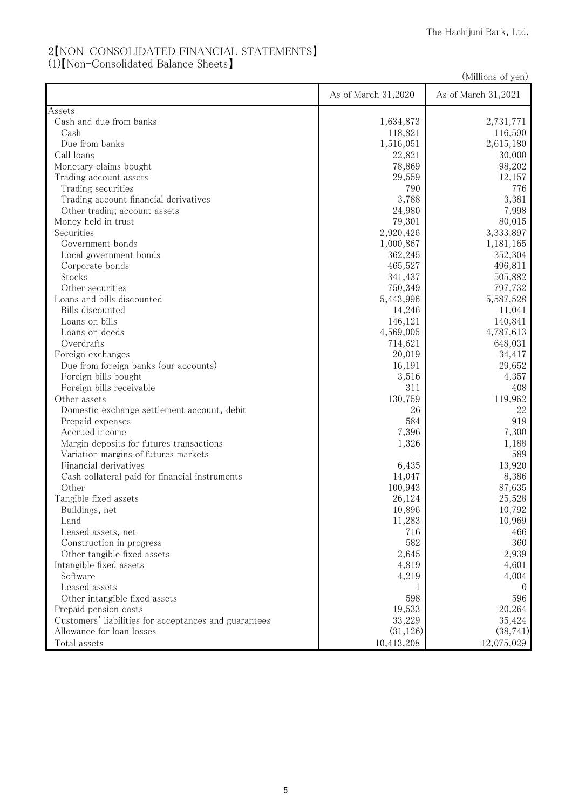## 2【NON-CONSOLIDATED FINANCIAL STATEMENTS】

(1)【Non-Consolidated Balance Sheets】

(Millions of yen)

|                                                       | As of March 31,2020 | As of March 31,2021 |
|-------------------------------------------------------|---------------------|---------------------|
| Assets                                                |                     |                     |
| Cash and due from banks                               | 1,634,873           | 2,731,771           |
| Cash                                                  | 118,821             | 116,590             |
| Due from banks                                        | 1,516,051           | 2,615,180           |
| Call loans                                            | 22,821              | 30,000              |
| Monetary claims bought                                | 78,869              | 98,202              |
| Trading account assets                                | 29,559              | 12,157              |
| Trading securities                                    | 790                 | 776                 |
| Trading account financial derivatives                 | 3,788               | 3,381               |
| Other trading account assets                          | 24,980              | 7,998               |
| Money held in trust                                   | 79,301              | 80,015              |
| Securities                                            | 2,920,426           | 3,333,897           |
| Government bonds                                      | 1,000,867           | 1,181,165           |
| Local government bonds                                | 362,245             | 352,304             |
| Corporate bonds                                       | 465,527             | 496,811             |
| Stocks                                                | 341,437             | 505,882             |
| Other securities                                      | 750,349             | 797,732             |
| Loans and bills discounted                            | 5,443,996           | 5,587,528           |
| Bills discounted                                      | 14,246              | 11,041              |
| Loans on bills                                        | 146,121             | 140,841             |
| Loans on deeds                                        | 4,569,005           | 4,787,613           |
| Overdrafts                                            | 714,621             | 648,031             |
| Foreign exchanges                                     | 20,019              | 34,417              |
| Due from foreign banks (our accounts)                 | 16,191              | 29,652              |
| Foreign bills bought                                  | 3,516               | 4,357               |
| Foreign bills receivable                              | 311                 | 408                 |
| Other assets                                          | 130,759             | 119,962             |
| Domestic exchange settlement account, debit           | 26                  | 22                  |
| Prepaid expenses                                      | 584                 | 919                 |
| Accrued income                                        | 7,396               | 7,300               |
| Margin deposits for futures transactions              | 1,326               | 1,188               |
| Variation margins of futures markets                  |                     | 589                 |
| Financial derivatives                                 | 6,435               | 13,920              |
| Cash collateral paid for financial instruments        | 14,047              | 8,386               |
| Other                                                 | 100,943             | 87,635              |
| Tangible fixed assets                                 | 26,124              | 25,528              |
| Buildings, net                                        | 10,896              | 10,792              |
| Land                                                  | 11,283              | 10,969              |
| Leased assets, net                                    | 716                 | 466                 |
| Construction in progress                              | 582                 | 360                 |
| Other tangible fixed assets                           | 2,645               | 2,939               |
| Intangible fixed assets                               | 4,819               | 4,601               |
| Software                                              | 4,219               | 4,004               |
| Leased assets                                         |                     | $\theta$            |
| Other intangible fixed assets                         | 598                 | 596                 |
| Prepaid pension costs                                 | 19,533              | 20,264              |
| Customers' liabilities for acceptances and guarantees | 33,229              | 35,424              |
| Allowance for loan losses                             | (31, 126)           | (38, 741)           |
| Total assets                                          | 10,413,208          | 12,075,029          |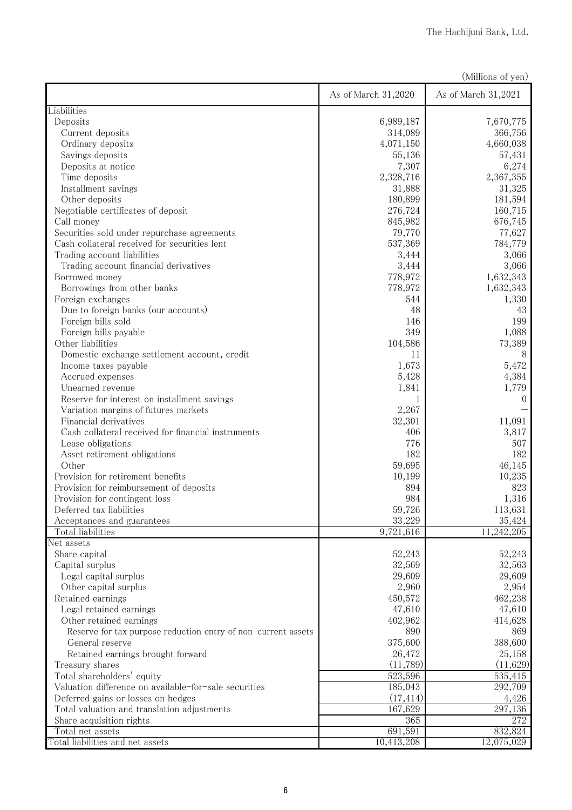| (Millions of yen) |  |
|-------------------|--|
|                   |  |

|                                                               | As of March 31,2020 | As of March 31,2021 |
|---------------------------------------------------------------|---------------------|---------------------|
| Liabilities                                                   |                     |                     |
| Deposits                                                      | 6,989,187           | 7,670,775           |
| Current deposits                                              | 314,089             | 366,756             |
| Ordinary deposits                                             | 4,071,150           | 4,660,038           |
| Savings deposits                                              | 55,136              | 57,431              |
| Deposits at notice                                            | 7,307               | 6,274               |
| Time deposits                                                 | 2,328,716           | 2,367,355           |
| Installment savings                                           | 31,888              | 31,325              |
| Other deposits                                                | 180,899             | 181,594             |
| Negotiable certificates of deposit                            | 276,724             | 160,715             |
| Call money                                                    | 845,982             | 676,745             |
| Securities sold under repurchase agreements                   | 79,770              | 77,627              |
| Cash collateral received for securities lent                  | 537,369             | 784,779             |
| Trading account liabilities                                   | 3,444               | 3,066               |
| Trading account financial derivatives                         | 3,444               | 3,066               |
| Borrowed money                                                | 778,972             | 1,632,343           |
| Borrowings from other banks                                   | 778,972             | 1,632,343           |
| Foreign exchanges                                             | 544                 | 1,330               |
| Due to foreign banks (our accounts)                           | 48                  | 43                  |
| Foreign bills sold                                            | 146                 | 199                 |
| Foreign bills payable                                         | 349                 | 1,088               |
| Other liabilities                                             | 104,586             | 73,389              |
| Domestic exchange settlement account, credit                  | 11                  | 8                   |
| Income taxes payable                                          | 1,673               | 5,472               |
| Accrued expenses                                              | 5,428               | 4,384               |
| Unearned revenue                                              | 1,841               | 1,779               |
| Reserve for interest on installment savings                   | 1                   | $\overline{0}$      |
| Variation margins of futures markets                          | 2,267               |                     |
| Financial derivatives                                         | 32,301              | 11,091              |
| Cash collateral received for financial instruments            | 406                 | 3,817               |
| Lease obligations                                             | 776                 | 507                 |
| Asset retirement obligations                                  | 182                 | 182                 |
| Other                                                         | 59,695              | 46,145              |
| Provision for retirement benefits                             | 10,199              | 10,235              |
| Provision for reimbursement of deposits                       | 894                 | 823                 |
| Provision for contingent loss                                 | 984                 | 1,316               |
| Deferred tax liabilities                                      | 59,726              | 113,631             |
| Acceptances and guarantees                                    | 33,229              | 35,424              |
| Total liabilities                                             | 9,721,616           | 11,242,205          |
| Net assets                                                    |                     |                     |
| Share capital                                                 | 52,243              | 52,243              |
| Capital surplus                                               | 32,569              | 32,563              |
| Legal capital surplus                                         | 29,609              | 29,609              |
| Other capital surplus                                         | 2,960               | 2,954               |
| Retained earnings                                             | 450,572             | 462,238             |
| Legal retained earnings                                       | 47,610              | 47,610              |
| Other retained earnings                                       | 402,962             | 414,628             |
| Reserve for tax purpose reduction entry of non-current assets | 890                 | 869                 |
| General reserve                                               | 375,600             | 388,600             |
| Retained earnings brought forward                             | 26,472              | 25,158              |
| Treasury shares                                               | (11,789)            | (11,629)            |
| Total shareholders' equity                                    | 523,596             | 535,415             |
| Valuation difference on available-for-sale securities         | 185,043             | 292,709             |
| Deferred gains or losses on hedges                            | (17, 414)           | 4,426               |
| Total valuation and translation adjustments                   | 167,629             | 297,136             |
| Share acquisition rights<br>Total net assets                  | 365<br>691,591      | 272<br>832,824      |
| Total liabilities and net assets                              | 10,413,208          | 12,075,029          |
|                                                               |                     |                     |